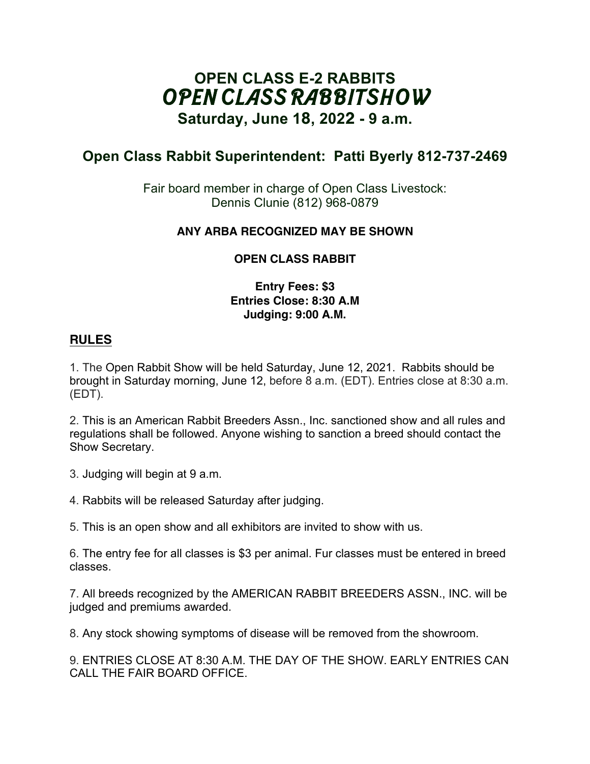# **OPEN CLASS E-2 RABBITS** *OPEN CLASS RABBIT SHOW*

**Saturday, June 1**8**, 202**2 **- 9 a.m.** 

## **Open Class Rabbit Superintendent: Patti Byerly 812-737-2469**

Fair board member in charge of Open Class Livestock: Dennis Clunie (812) 968-0879

#### **ANY ARBA RECOGNIZED MAY BE SHOWN**

### **OPEN CLASS RABBIT**

#### **Entry Fees: \$3 Entries Close: 8:30 A.M Judging: 9:00 A.M.**

#### **RULES**

1. The Open Rabbit Show will be held Saturday, June 12, 2021. Rabbits should be brought in Saturday morning, June 12, before 8 a.m. (EDT). Entries close at 8:30 a.m. (EDT).

2. This is an American Rabbit Breeders Assn., Inc. sanctioned show and all rules and regulations shall be followed. Anyone wishing to sanction a breed should contact the Show Secretary.

3. Judging will begin at 9 a.m.

4. Rabbits will be released Saturday after judging.

5. This is an open show and all exhibitors are invited to show with us.

6. The entry fee for all classes is \$3 per animal. Fur classes must be entered in breed classes.

7. All breeds recognized by the AMERICAN RABBIT BREEDERS ASSN., INC. will be judged and premiums awarded.

8. Any stock showing symptoms of disease will be removed from the showroom.

9. ENTRIES CLOSE AT 8:30 A.M. THE DAY OF THE SHOW. EARLY ENTRIES CAN CALL THE FAIR BOARD OFFICE.